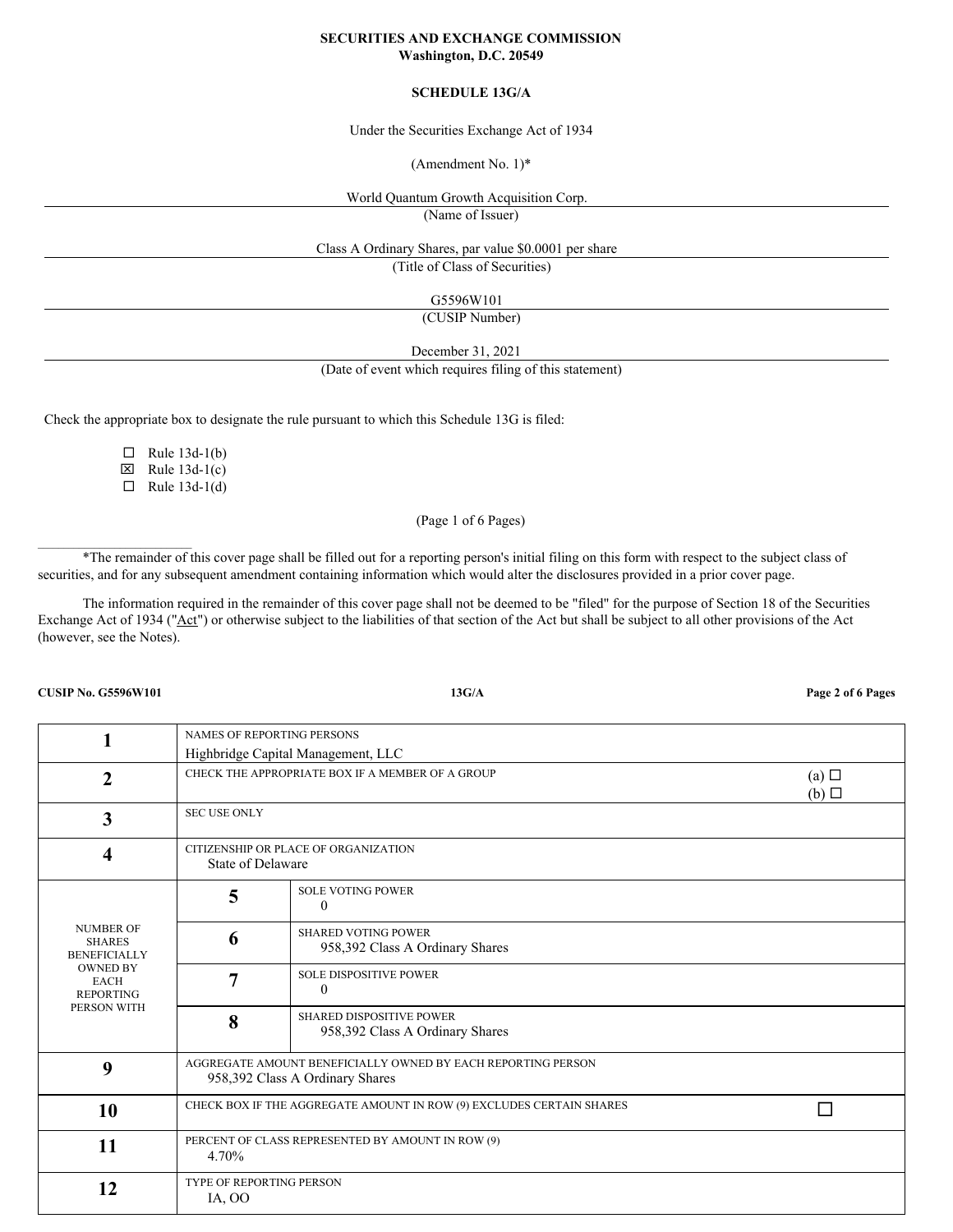#### **SECURITIES AND EXCHANGE COMMISSION Washington, D.C. 20549**

# **SCHEDULE 13G/A**

Under the Securities Exchange Act of 1934

(Amendment No. 1)\*

World Quantum Growth Acquisition Corp.

(Name of Issuer)

Class A Ordinary Shares, par value \$0.0001 per share

(Title of Class of Securities)

G5596W101

(CUSIP Number)

December 31, 2021

(Date of event which requires filing of this statement)

Check the appropriate box to designate the rule pursuant to which this Schedule 13G is filed:

 $\Box$  Rule 13d-1(b)  $\boxtimes$  Rule 13d-1(c)

 $\Box$  Rule 13d-1(d)

(Page 1 of 6 Pages)

\*The remainder of this cover page shall be filled out for a reporting person's initial filing on this form with respect to the subject class of securities, and for any subsequent amendment containing information which would alter the disclosures provided in a prior cover page.

The information required in the remainder of this cover page shall not be deemed to be "filed" for the purpose of Section 18 of the Securities Exchange Act of 1934 ("Act") or otherwise subject to the liabilities of that section of the Act but shall be subject to all other provisions of the Act (however, see the Notes).

**CUSIP No. G5596W101 13G/A Page 2 of 6 Pages**

 $\mathcal{L}_\text{max}$ 

|                                                                                                                               | NAMES OF REPORTING PERSONS                                           |                                                                                                 |  |  |  |
|-------------------------------------------------------------------------------------------------------------------------------|----------------------------------------------------------------------|-------------------------------------------------------------------------------------------------|--|--|--|
|                                                                                                                               | Highbridge Capital Management, LLC                                   |                                                                                                 |  |  |  |
| $\mathbf{2}$                                                                                                                  | CHECK THE APPROPRIATE BOX IF A MEMBER OF A GROUP                     | $(a)$ $\square$<br>$(b)$ $\square$                                                              |  |  |  |
| 3                                                                                                                             | <b>SEC USE ONLY</b>                                                  |                                                                                                 |  |  |  |
| 4                                                                                                                             | State of Delaware                                                    | CITIZENSHIP OR PLACE OF ORGANIZATION                                                            |  |  |  |
| <b>NUMBER OF</b><br><b>SHARES</b><br><b>BENEFICIALLY</b><br><b>OWNED BY</b><br><b>EACH</b><br><b>REPORTING</b><br>PERSON WITH | 5                                                                    | <b>SOLE VOTING POWER</b><br>$\Omega$                                                            |  |  |  |
|                                                                                                                               | 6                                                                    | <b>SHARED VOTING POWER</b><br>958,392 Class A Ordinary Shares                                   |  |  |  |
|                                                                                                                               | 7                                                                    | <b>SOLE DISPOSITIVE POWER</b><br>$\Omega$                                                       |  |  |  |
|                                                                                                                               | 8                                                                    | <b>SHARED DISPOSITIVE POWER</b><br>958,392 Class A Ordinary Shares                              |  |  |  |
| 9                                                                                                                             |                                                                      | AGGREGATE AMOUNT BENEFICIALLY OWNED BY EACH REPORTING PERSON<br>958,392 Class A Ordinary Shares |  |  |  |
| 10                                                                                                                            | CHECK BOX IF THE AGGREGATE AMOUNT IN ROW (9) EXCLUDES CERTAIN SHARES |                                                                                                 |  |  |  |
| 11                                                                                                                            | 4.70%                                                                | PERCENT OF CLASS REPRESENTED BY AMOUNT IN ROW (9)                                               |  |  |  |
| 12                                                                                                                            | <b>TYPE OF REPORTING PERSON</b><br>IA, OO                            |                                                                                                 |  |  |  |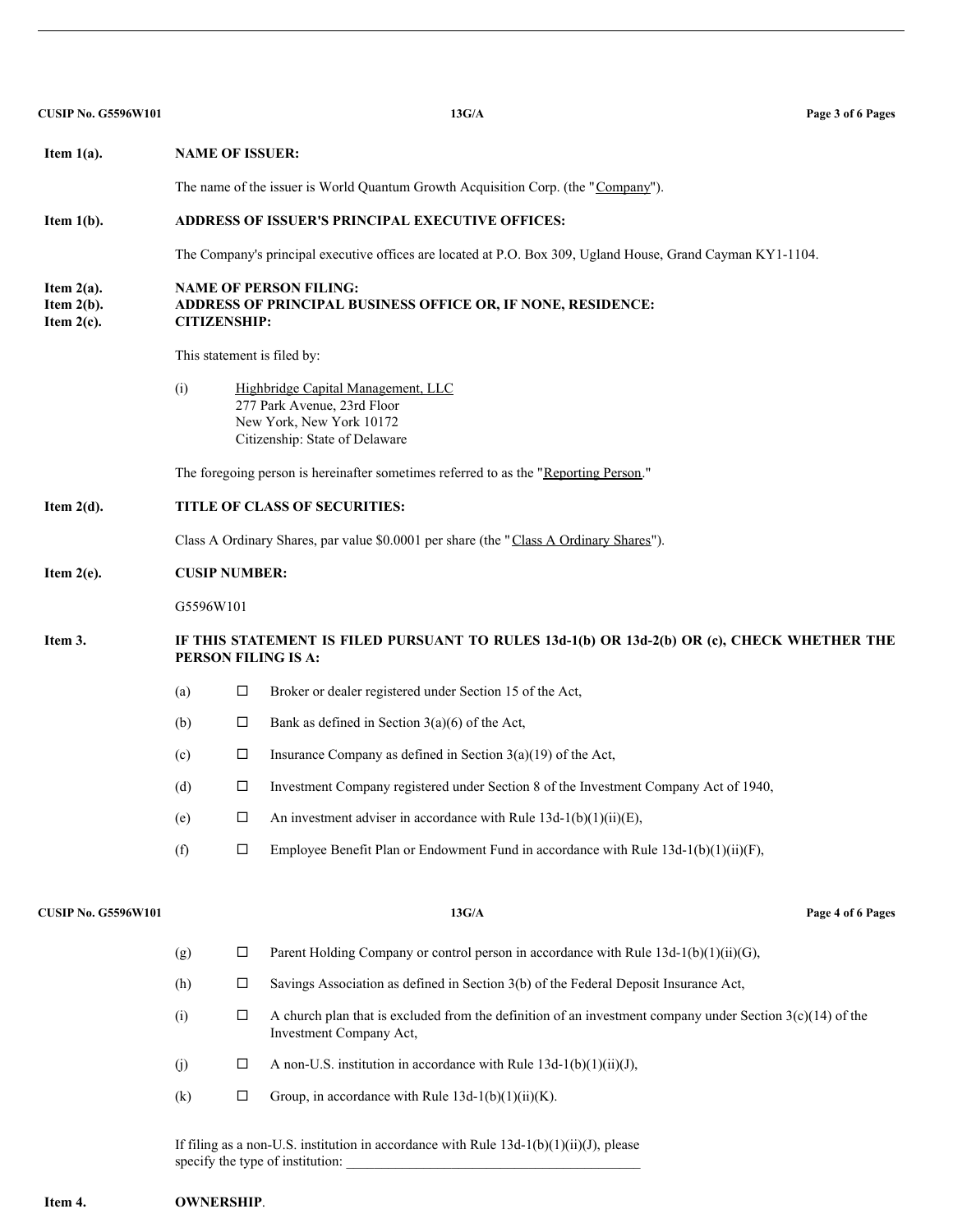| <b>CUSIP No. G5596W101</b>                      |                                                                                                                      |                                                                                                             | 13G/A                                                                                                                                  | Page 3 of 6 Pages |  |  |  |  |
|-------------------------------------------------|----------------------------------------------------------------------------------------------------------------------|-------------------------------------------------------------------------------------------------------------|----------------------------------------------------------------------------------------------------------------------------------------|-------------------|--|--|--|--|
| Item $1(a)$ .                                   | <b>NAME OF ISSUER:</b>                                                                                               |                                                                                                             |                                                                                                                                        |                   |  |  |  |  |
|                                                 | The name of the issuer is World Quantum Growth Acquisition Corp. (the "Company").                                    |                                                                                                             |                                                                                                                                        |                   |  |  |  |  |
| Item $1(b)$ .                                   | ADDRESS OF ISSUER'S PRINCIPAL EXECUTIVE OFFICES:                                                                     |                                                                                                             |                                                                                                                                        |                   |  |  |  |  |
|                                                 |                                                                                                                      | The Company's principal executive offices are located at P.O. Box 309, Ugland House, Grand Cayman KY1-1104. |                                                                                                                                        |                   |  |  |  |  |
| Item $2(a)$ .<br>Item $2(b)$ .<br>Item $2(c)$ . | <b>NAME OF PERSON FILING:</b><br>ADDRESS OF PRINCIPAL BUSINESS OFFICE OR, IF NONE, RESIDENCE:<br><b>CITIZENSHIP:</b> |                                                                                                             |                                                                                                                                        |                   |  |  |  |  |
|                                                 | This statement is filed by:                                                                                          |                                                                                                             |                                                                                                                                        |                   |  |  |  |  |
|                                                 | (i)                                                                                                                  |                                                                                                             | Highbridge Capital Management, LLC<br>277 Park Avenue, 23rd Floor<br>New York, New York 10172<br>Citizenship: State of Delaware        |                   |  |  |  |  |
|                                                 | The foregoing person is hereinafter sometimes referred to as the "Reporting Person."                                 |                                                                                                             |                                                                                                                                        |                   |  |  |  |  |
| Item $2(d)$ .                                   | TITLE OF CLASS OF SECURITIES:                                                                                        |                                                                                                             |                                                                                                                                        |                   |  |  |  |  |
|                                                 |                                                                                                                      | Class A Ordinary Shares, par value \$0.0001 per share (the "Class A Ordinary Shares").                      |                                                                                                                                        |                   |  |  |  |  |
| Item $2(e)$ .                                   | <b>CUSIP NUMBER:</b>                                                                                                 |                                                                                                             |                                                                                                                                        |                   |  |  |  |  |
|                                                 |                                                                                                                      | G5596W101                                                                                                   |                                                                                                                                        |                   |  |  |  |  |
| Item 3.                                         | IF THIS STATEMENT IS FILED PURSUANT TO RULES 13d-1(b) OR 13d-2(b) OR (c), CHECK WHETHER THE<br>PERSON FILING IS A:   |                                                                                                             |                                                                                                                                        |                   |  |  |  |  |
|                                                 | (a)                                                                                                                  | $\Box$                                                                                                      | Broker or dealer registered under Section 15 of the Act,                                                                               |                   |  |  |  |  |
|                                                 | (b)                                                                                                                  | $\Box$                                                                                                      | Bank as defined in Section $3(a)(6)$ of the Act,                                                                                       |                   |  |  |  |  |
|                                                 | (c)                                                                                                                  | □                                                                                                           | Insurance Company as defined in Section $3(a)(19)$ of the Act,                                                                         |                   |  |  |  |  |
|                                                 | (d)                                                                                                                  | □                                                                                                           | Investment Company registered under Section 8 of the Investment Company Act of 1940,                                                   |                   |  |  |  |  |
|                                                 | (e)                                                                                                                  | □                                                                                                           | An investment adviser in accordance with Rule $13d-1(b)(1)(ii)(E)$ ,                                                                   |                   |  |  |  |  |
|                                                 | (f)                                                                                                                  | $\Box$                                                                                                      | Employee Benefit Plan or Endowment Fund in accordance with Rule $13d-1(b)(1)(ii)(F)$ ,                                                 |                   |  |  |  |  |
| <b>CUSIP No. G5596W101</b>                      |                                                                                                                      |                                                                                                             | 13G/A                                                                                                                                  | Page 4 of 6 Pages |  |  |  |  |
|                                                 | (g)                                                                                                                  | $\Box$                                                                                                      | Parent Holding Company or control person in accordance with Rule $13d-1(b)(1)(ii)(G)$ ,                                                |                   |  |  |  |  |
|                                                 | (h)                                                                                                                  | $\Box$                                                                                                      | Savings Association as defined in Section 3(b) of the Federal Deposit Insurance Act,                                                   |                   |  |  |  |  |
|                                                 | (i)                                                                                                                  | $\Box$                                                                                                      | A church plan that is excluded from the definition of an investment company under Section $3(c)(14)$ of the<br>Investment Company Act, |                   |  |  |  |  |
|                                                 | (j)                                                                                                                  | □                                                                                                           | A non-U.S. institution in accordance with Rule $13d-1(b)(1)(ii)(J)$ ,                                                                  |                   |  |  |  |  |
|                                                 | (k)                                                                                                                  | $\Box$                                                                                                      | Group, in accordance with Rule $13d-1(b)(1)(ii)(K)$ .                                                                                  |                   |  |  |  |  |
|                                                 |                                                                                                                      |                                                                                                             | If filing as a non-U.S. institution in accordance with Rule $13d-1(b)(1)(ii)(J)$ , please<br>specify the type of institution:          |                   |  |  |  |  |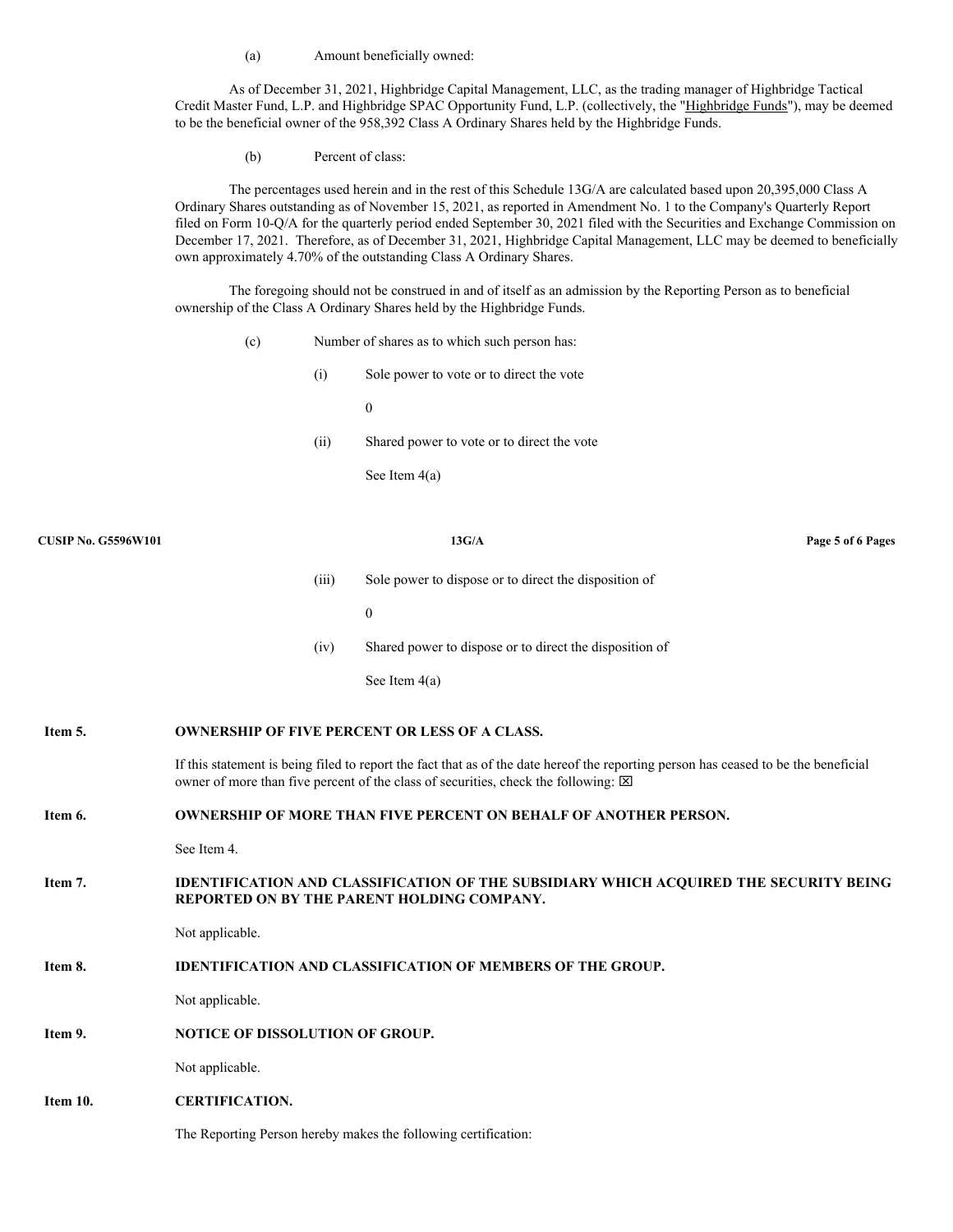(a) Amount beneficially owned:

As of December 31, 2021, Highbridge Capital Management, LLC, as the trading manager of Highbridge Tactical Credit Master Fund, L.P. and Highbridge SPAC Opportunity Fund, L.P. (collectively, the "Highbridge Funds"), may be deemed to be the beneficial owner of the 958,392 Class A Ordinary Shares held by the Highbridge Funds.

(b) Percent of class:

The percentages used herein and in the rest of this Schedule 13G/A are calculated based upon 20,395,000 Class A Ordinary Shares outstanding as of November 15, 2021, as reported in Amendment No. 1 to the Company's Quarterly Report filed on Form 10-Q/A for the quarterly period ended September 30, 2021 filed with the Securities and Exchange Commission on December 17, 2021. Therefore, as of December 31, 2021, Highbridge Capital Management, LLC may be deemed to beneficially own approximately 4.70% of the outstanding Class A Ordinary Shares.

The foregoing should not be construed in and of itself as an admission by the Reporting Person as to beneficial ownership of the Class A Ordinary Shares held by the Highbridge Funds.

- (c) Number of shares as to which such person has:
	- (i) Sole power to vote or to direct the vote

0

(ii) Shared power to vote or to direct the vote

See Item 4(a)

| <b>CUSIP No. G5596W101</b> |                                                                | 13G/A                                                                                                                                                                                                                               | Page 5 of 6 Pages |
|----------------------------|----------------------------------------------------------------|-------------------------------------------------------------------------------------------------------------------------------------------------------------------------------------------------------------------------------------|-------------------|
|                            | (iii)                                                          | Sole power to dispose or to direct the disposition of                                                                                                                                                                               |                   |
|                            |                                                                | $\boldsymbol{0}$                                                                                                                                                                                                                    |                   |
|                            | (iv)                                                           | Shared power to dispose or to direct the disposition of                                                                                                                                                                             |                   |
|                            |                                                                | See Item $4(a)$                                                                                                                                                                                                                     |                   |
| Item 5.                    |                                                                | <b>OWNERSHIP OF FIVE PERCENT OR LESS OF A CLASS.</b>                                                                                                                                                                                |                   |
|                            |                                                                | If this statement is being filed to report the fact that as of the date hereof the reporting person has ceased to be the beneficial<br>owner of more than five percent of the class of securities, check the following: $\boxtimes$ |                   |
| Item 6.                    |                                                                | <b>OWNERSHIP OF MORE THAN FIVE PERCENT ON BEHALF OF ANOTHER PERSON.</b>                                                                                                                                                             |                   |
|                            | See Item 4.                                                    |                                                                                                                                                                                                                                     |                   |
| Item 7.                    |                                                                | <b>IDENTIFICATION AND CLASSIFICATION OF THE SUBSIDIARY WHICH ACQUIRED THE SECURITY BEING</b><br>REPORTED ON BY THE PARENT HOLDING COMPANY.                                                                                          |                   |
|                            | Not applicable.                                                |                                                                                                                                                                                                                                     |                   |
| Item 8.                    |                                                                | <b>IDENTIFICATION AND CLASSIFICATION OF MEMBERS OF THE GROUP.</b>                                                                                                                                                                   |                   |
|                            | Not applicable.                                                |                                                                                                                                                                                                                                     |                   |
| Item 9.                    | NOTICE OF DISSOLUTION OF GROUP.                                |                                                                                                                                                                                                                                     |                   |
|                            | Not applicable.                                                |                                                                                                                                                                                                                                     |                   |
| Item 10.                   | <b>CERTIFICATION.</b>                                          |                                                                                                                                                                                                                                     |                   |
|                            | The Reporting Person hereby makes the following certification: |                                                                                                                                                                                                                                     |                   |